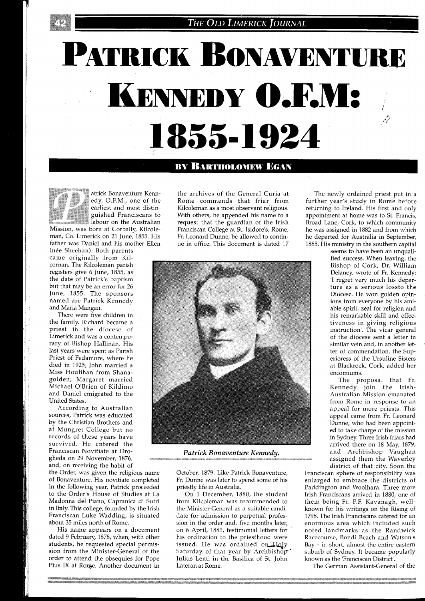## THE OLD LIMERICK JOURNAL

## PATRICK BONAVENTURE KENNEDY O.F.M: 1855-1924

## **BY BARTHOLOMEW EGAN**



atrick Bonaventure Kenn-<br>edy, O.F.M., one of the<br>earliest and most distin-:: guished Franciscans to *abour on the Australian* 

Mission, was born at Corbally, Kilcoleman, Co. Limerick on 21 June, 1855. His father was Daniel and his mother Ellen (née Sheehan). Both parents

came originally from Kilcornan. The Kilcoleman parish registers give 6 June, 1855, as the date of Patrick's baptism but that may be an error for 26 June, 1855. The sponsors named are Patrick Kennedy and Maria Mangan.

There were five children in the family. Richard became a priest in the diocese of Limerick and was a contemporary of Bishop Hallinan. His last years were spent as Parish Priest of Fedamore, where he died in 1925; John married a Miss Houlihan from Shanagolden; Margaret married Michael O'Brien of Kildimo and Daniel emigrated to the United States.

According to Australian sources, Patrick was educated by the Christian Brothers and at Mungret College but no records of these years have survived. He entered the Franciscan Novitiate at Drogheda on 29 November, 1876, and, on receiving the habit of

the Order, was given the religious name of Bonaventure. His novitiate completed in the following year, Patrick proceeded to the Order's House of Studies at La Madonna del Piano, Capranica di Sutri in Italy. This college, founded by the Irish Franciscan Luke Wadding, is situated about 35 miles north of Rome.

the archives of the General Curia at Rome commends that friar from Kilcoleman as a most observant religious. With others, he appended his name to a request that the guardian of the Irish Franciscan College at St. Isidore's, Rome, Fr. Leonard Dunne, be allowed to continue in office. This document is dated 17



*Patrick Bonaventure Kennedy.* 

October, 1879. Like Patrick Bonaventure, Fr. Dunne was later to spend some of his priestly life in Australia.

On 1 December, 1880, the student from Kilcoleman was recommended to the Minister-General as a suitable candidate for admission to perpetual profession in the order and, five months later, His name appears on a document on 6 April, 1881, testimonial letters for noted landmarks as the Randwick dated 9 February, 1878, when, with other his ordination to the priesthood were Racecourse, Bondi Beach and Watson's dated 9 February, 1878, when, with other his ordination to the priesthood were students, he requested special permis-<br>issued. He was ordained on Holy students, he requested special permis-<br>sion from the Minister-General of the Saturday of that year by Archbishop suburb of Sydney. It became popularly sion from the Minister-General of the Saturday of that year by Archbishop-<br>order to attend the obsequies for Pope Julius Lenti in the Basilica of St. John Julius Lenti in the Basilica of St. John known as the 'Franciscan District'. Pius IX at Rome. Another document in Lateran at Rome. The German Assistant-General of the Thus IX at Rome and The German Assistant-General of the

The newly ordained priest put in a further year's study in Rome before returning to Ireland. His first and only appointment at home was to St. Francis, Broad Lane, Cork, to which community he was assigned in 1882 and from which he departed for Australia in September, 1885. His ministry in the southern capital

seems to have been an unqualified success. When leaving, the Bishop of Cork, Dr. William Delaney, wrote of Fr. Kennedy: 'I regret very much his departure as a serious lossto the Diocese. He won golden opinions from everyone by his amiable spirit, zeal for religion and his remarkable skill and effectiveness in giving religious instruction'. The vicar general of the diocese sent a letter in similar vein and, in another letter of commendation, the Superioress of the Ursuline Sisters at Blackrock, Cork, added her encomiums.

The proposal that Fr. Kennedy join the Irish-Australian Mission emanated from Rome in response to an appeal for more priests. This appeal came from Fr. Leonard Dunne, who had been appointed to take charge of the mission in Sydney. Three Irish friars had arrived there on 18 May, 1879, and Archbishop Vaughan assigned them the Waverley district of that citv. Soon the

Franciscan sphere of responsibility was enlarged to embrace the districts of Paddington and Woolhara. Three more Irish Franciscans arrived in 1880, one of them being Fr. P.F. Kavanagh, wellknown for his writings on the Rising of 1798. The Irish Franciscans catered for an enormous area which included such<br>noted landmarks as the Randwick